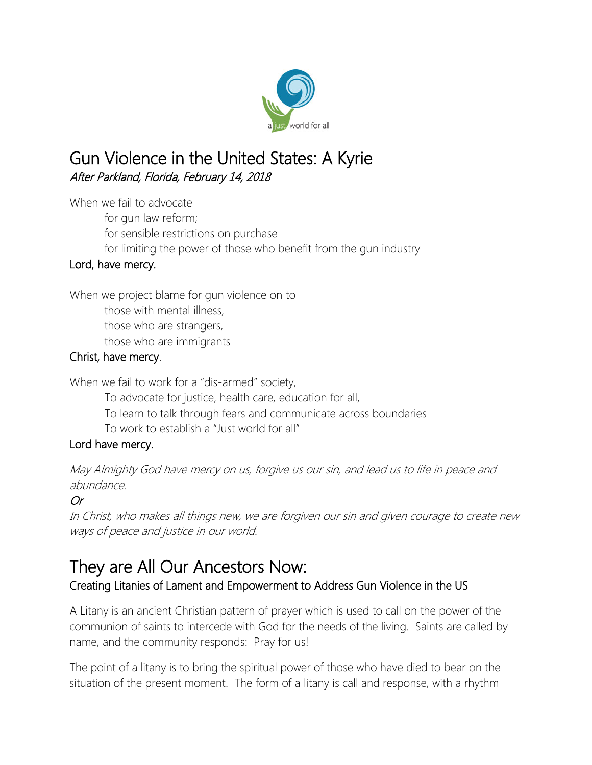

## Gun Violence in the United States: A Kyrie After Parkland, Florida, February 14, 2018

When we fail to advocate for gun law reform; for sensible restrictions on purchase for limiting the power of those who benefit from the gun industry

#### Lord, have mercy.

When we project blame for gun violence on to those with mental illness, those who are strangers, those who are immigrants

#### Christ, have mercy.

When we fail to work for a "dis-armed" society,

To advocate for justice, health care, education for all,

- To learn to talk through fears and communicate across boundaries
- To work to establish a "Just world for all"

#### Lord have mercy.

May Almighty God have mercy on us, forgive us our sin, and lead us to life in peace and abundance.

### Or

In Christ, who makes all things new, we are forgiven our sin and given courage to create new ways of peace and justice in our world.

# They are All Our Ancestors Now:<br>Creating Litanies of Lament and Empowerment to Address Gun Violence in the US

A Litany is an ancient Christian pattern of prayer which is used to call on the power of the communion of saints to intercede with God for the needs of the living. Saints are called by name, and the community responds: Pray for us!

The point of a litany is to bring the spiritual power of those who have died to bear on the situation of the present moment. The form of a litany is call and response, with a rhythm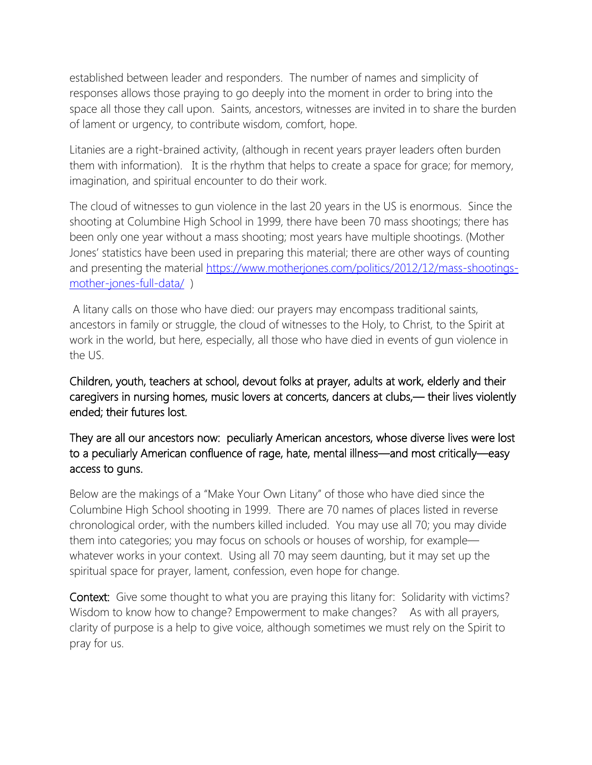established between leader and responders. The number of names and simplicity of responses allows those praying to go deeply into the moment in order to bring into the space all those they call upon. Saints, ancestors, witnesses are invited in to share the burden of lament or urgency, to contribute wisdom, comfort, hope.

Litanies are a right-brained activity, (although in recent years prayer leaders often burden them with information). It is the rhythm that helps to create a space for grace; for memory, imagination, and spiritual encounter to do their work.

The cloud of witnesses to gun violence in the last 20 years in the US is enormous. Since the shooting at Columbine High School in 1999, there have been 70 mass shootings; there has been only one year without a mass shooting; most years have multiple shootings. (Mother Jones' statistics have been used in preparing this material; there are other ways of counting and presenting the material [https://www.motherjones.com/politics/2012/12/mass-shootings](https://www.motherjones.com/politics/2012/12/mass-shootings-mother-jones-full-data/)[mother-jones-full-data/](https://www.motherjones.com/politics/2012/12/mass-shootings-mother-jones-full-data/) )

A litany calls on those who have died: our prayers may encompass traditional saints, ancestors in family or struggle, the cloud of witnesses to the Holy, to Christ, to the Spirit at work in the world, but here, especially, all those who have died in events of gun violence in the US.

Children, youth, teachers at school, devout folks at prayer, adults at work, elderly and their caregivers in nursing homes, music lovers at concerts, dancers at clubs,— their lives violently ended; their futures lost.

They are all our ancestors now: peculiarly American ancestors, whose diverse lives were lost to a peculiarly American confluence of rage, hate, mental illness—and most critically—easy access to guns.

Below are the makings of a "Make Your Own Litany" of those who have died since the Columbine High School shooting in 1999. There are 70 names of places listed in reverse chronological order, with the numbers killed included. You may use all 70; you may divide them into categories; you may focus on schools or houses of worship, for example whatever works in your context. Using all 70 may seem daunting, but it may set up the spiritual space for prayer, lament, confession, even hope for change.

Context: Give some thought to what you are praying this litany for: Solidarity with victims? Wisdom to know how to change? Empowerment to make changes? As with all prayers, clarity of purpose is a help to give voice, although sometimes we must rely on the Spirit to pray for us.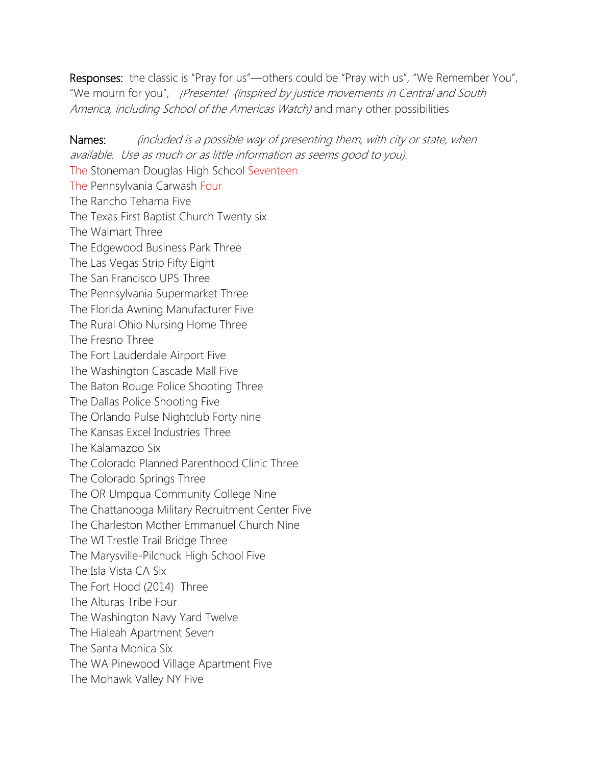Responses: the classic is "Pray for us"—others could be "Pray with us", "We Remember You", "We mourn for you", *¡Presente! (inspired by justice movements in Central and South* America, including School of the Americas Watch) and many other possibilities

Names: (included is a possible way of presenting them, with city or state, when available. Use as much or as little information as seems good to you). The Stoneman Douglas High School Seventeen The Pennsylvania Carwash Four The Rancho Tehama Five The Texas First Baptist Church Twenty six The Walmart Three The Edgewood Business Park Three The Las Vegas Strip Fifty Eight The San Francisco UPS Three The Pennsylvania Supermarket Three The Florida Awning Manufacturer Five The Rural Ohio Nursing Home Three The Fresno Three The Fort Lauderdale Airport Five The Washington Cascade Mall Five The Baton Rouge Police Shooting Three The Dallas Police Shooting Five The Orlando Pulse Nightclub Forty nine The Kansas Excel Industries Three The Kalamazoo Six The Colorado Planned Parenthood Clinic Three The Colorado Springs Three The OR Umpqua Community College Nine The Chattanooga Military Recruitment Center Five The Charleston Mother Emmanuel Church Nine The WI Trestle Trail Bridge Three The Marysville-Pilchuck High School Five The Isla Vista CA Six The Fort Hood (2014) Three The Alturas Tribe Four The Washington Navy Yard Twelve The Hialeah Apartment Seven The Santa Monica Six The WA Pinewood Village Apartment Five The Mohawk Valley NY Five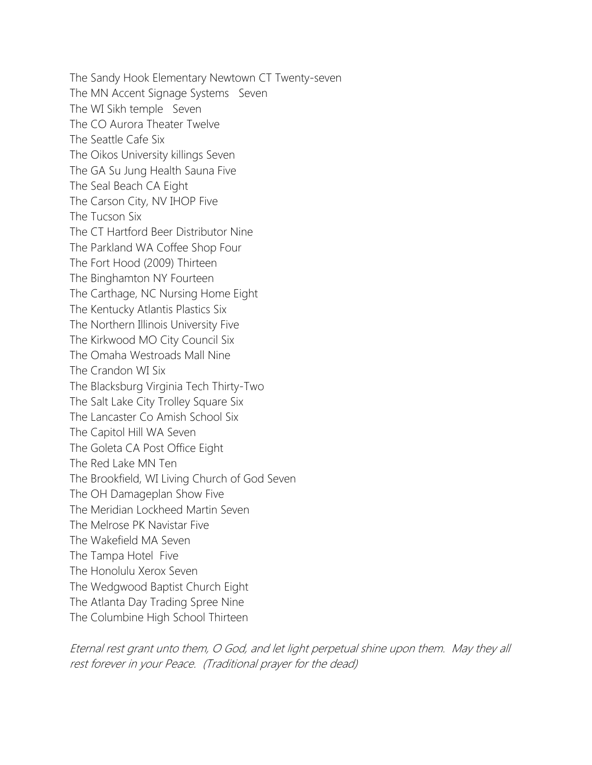The Sandy Hook Elementary Newtown CT Twenty-seven The MN Accent Signage Systems Seven The WI Sikh temple Seven The CO Aurora Theater Twelve The Seattle Cafe Six The Oikos University killings Seven The GA Su Jung Health Sauna Five The Seal Beach CA Eight The Carson City, NV IHOP Five The Tucson Six The CT Hartford Beer Distributor Nine The Parkland WA Coffee Shop Four The Fort Hood (2009) Thirteen The Binghamton NY Fourteen The Carthage, NC Nursing Home Eight The Kentucky Atlantis Plastics Six The Northern Illinois University Five The Kirkwood MO City Council Six The Omaha Westroads Mall Nine The Crandon WI Six The Blacksburg Virginia Tech Thirty-Two The Salt Lake City Trolley Square Six The Lancaster Co Amish School Six The Capitol Hill WA Seven The Goleta CA Post Office Eight The Red Lake MN Ten The Brookfield, WI Living Church of God Seven The OH Damageplan Show Five The Meridian Lockheed Martin Seven The Melrose PK Navistar Five The Wakefield MA Seven The Tampa Hotel Five The Honolulu Xerox Seven The Wedgwood Baptist Church Eight The Atlanta Day Trading Spree Nine The Columbine High School Thirteen

Eternal rest grant unto them, O God, and let light perpetual shine upon them. May they all rest forever in your Peace. (Traditional prayer for the dead)